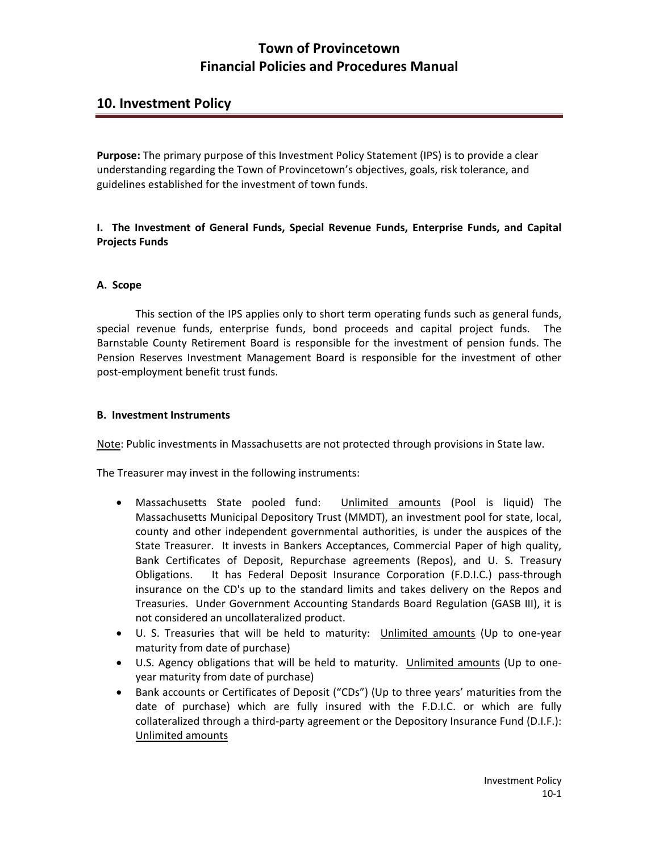## **10. Investment Policy**

**Purpose:** The primary purpose of this Investment Policy Statement (IPS) is to provide a clear understanding regarding the Town of Provincetown's objectives, goals, risk tolerance, and guidelines established for the investment of town funds.

### **I. The Investment of General Funds, Special Revenue Funds, Enterprise Funds, and Capital Projects Funds**

#### **A. Scope**

This section of the IPS applies only to short term operating funds such as general funds, special revenue funds, enterprise funds, bond proceeds and capital project funds. The Barnstable County Retirement Board is responsible for the investment of pension funds. The Pension Reserves Investment Management Board is responsible for the investment of other post‐employment benefit trust funds.

#### **B. Investment Instruments**

Note: Public investments in Massachusetts are not protected through provisions in State law.

The Treasurer may invest in the following instruments:

- Massachusetts State pooled fund: Unlimited amounts (Pool is liquid) The Massachusetts Municipal Depository Trust (MMDT), an investment pool for state, local, county and other independent governmental authorities, is under the auspices of the State Treasurer. It invests in Bankers Acceptances, Commercial Paper of high quality, Bank Certificates of Deposit, Repurchase agreements (Repos), and U. S. Treasury Obligations. It has Federal Deposit Insurance Corporation (F.D.I.C.) pass‐through insurance on the CD's up to the standard limits and takes delivery on the Repos and Treasuries. Under Government Accounting Standards Board Regulation (GASB III), it is not considered an uncollateralized product.
- U. S. Treasuries that will be held to maturity: Unlimited amounts (Up to one-year maturity from date of purchase)
- U.S. Agency obligations that will be held to maturity. Unlimited amounts (Up to oneyear maturity from date of purchase)
- Bank accounts or Certificates of Deposit ("CDs") (Up to three years' maturities from the date of purchase) which are fully insured with the F.D.I.C. or which are fully collateralized through a third‐party agreement or the Depository Insurance Fund (D.I.F.): Unlimited amounts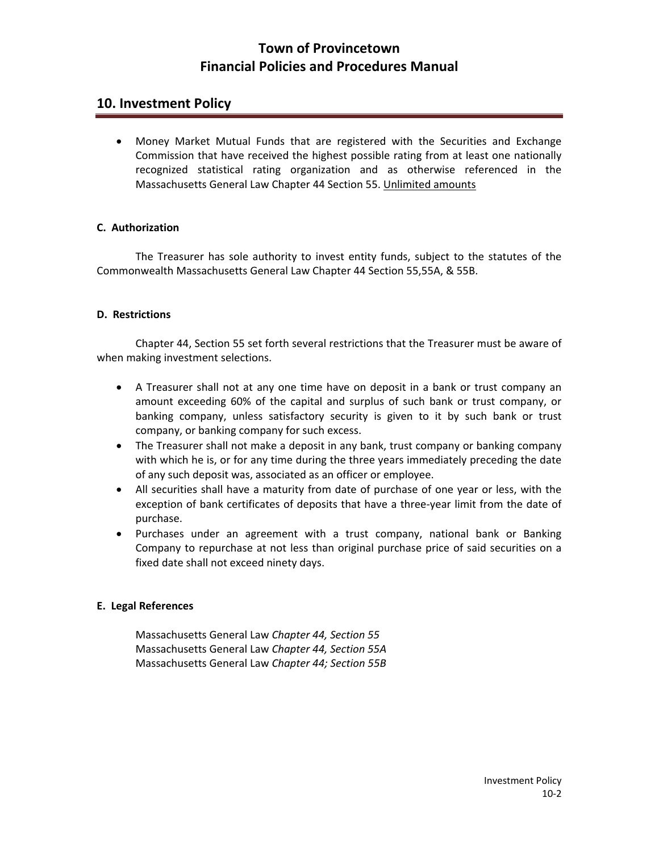### **10. Investment Policy**

 Money Market Mutual Funds that are registered with the Securities and Exchange Commission that have received the highest possible rating from at least one nationally recognized statistical rating organization and as otherwise referenced in the Massachusetts General Law Chapter 44 Section 55. Unlimited amounts

#### **C. Authorization**

The Treasurer has sole authority to invest entity funds, subject to the statutes of the Commonwealth Massachusetts General Law Chapter 44 Section 55,55A, & 55B.

#### **D. Restrictions**

Chapter 44, Section 55 set forth several restrictions that the Treasurer must be aware of when making investment selections.

- A Treasurer shall not at any one time have on deposit in a bank or trust company an amount exceeding 60% of the capital and surplus of such bank or trust company, or banking company, unless satisfactory security is given to it by such bank or trust company, or banking company for such excess.
- The Treasurer shall not make a deposit in any bank, trust company or banking company with which he is, or for any time during the three years immediately preceding the date of any such deposit was, associated as an officer or employee.
- All securities shall have a maturity from date of purchase of one year or less, with the exception of bank certificates of deposits that have a three‐year limit from the date of purchase.
- Purchases under an agreement with a trust company, national bank or Banking Company to repurchase at not less than original purchase price of said securities on a fixed date shall not exceed ninety days.

#### **E. Legal References**

Massachusetts General Law *Chapter 44, Section 55* Massachusetts General Law *Chapter 44, Section 55A* Massachusetts General Law *Chapter 44; Section 55B*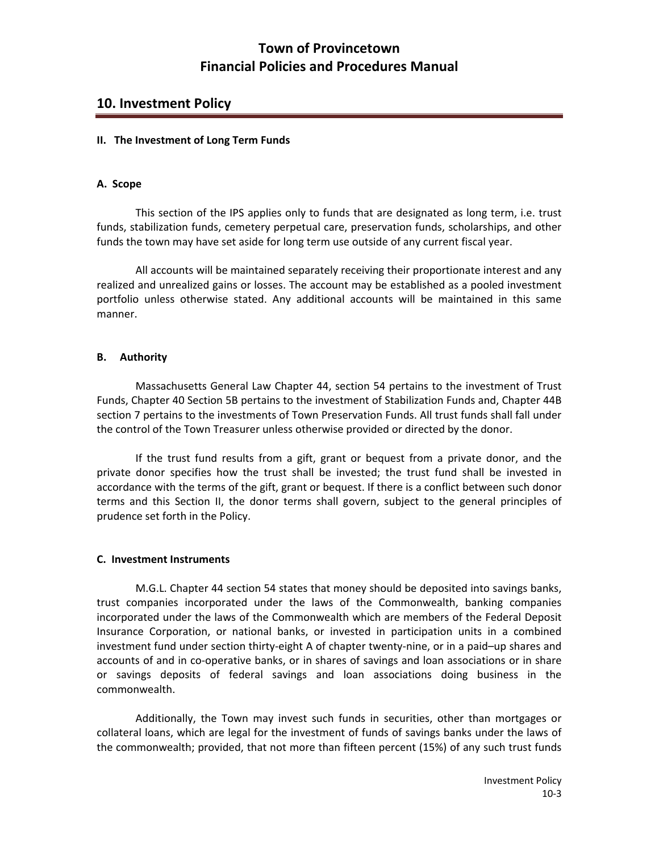### **10. Investment Policy**

#### **II. The Investment of Long Term Funds**

#### **A. Scope**

This section of the IPS applies only to funds that are designated as long term, i.e. trust funds, stabilization funds, cemetery perpetual care, preservation funds, scholarships, and other funds the town may have set aside for long term use outside of any current fiscal year.

All accounts will be maintained separately receiving their proportionate interest and any realized and unrealized gains or losses. The account may be established as a pooled investment portfolio unless otherwise stated. Any additional accounts will be maintained in this same manner.

#### **B. Authority**

Massachusetts General Law Chapter 44, section 54 pertains to the investment of Trust Funds, Chapter 40 Section 5B pertains to the investment of Stabilization Funds and, Chapter 44B section 7 pertains to the investments of Town Preservation Funds. All trust funds shall fall under the control of the Town Treasurer unless otherwise provided or directed by the donor.

If the trust fund results from a gift, grant or bequest from a private donor, and the private donor specifies how the trust shall be invested; the trust fund shall be invested in accordance with the terms of the gift, grant or bequest. If there is a conflict between such donor terms and this Section II, the donor terms shall govern, subject to the general principles of prudence set forth in the Policy.

#### **C. Investment Instruments**

M.G.L. Chapter 44 section 54 states that money should be deposited into savings banks, trust companies incorporated under the laws of the Commonwealth, banking companies incorporated under the laws of the Commonwealth which are members of the Federal Deposit Insurance Corporation, or national banks, or invested in participation units in a combined investment fund under section thirty‐eight A of chapter twenty‐nine, or in a paid–up shares and accounts of and in co‐operative banks, or in shares of savings and loan associations or in share or savings deposits of federal savings and loan associations doing business in the commonwealth.

Additionally, the Town may invest such funds in securities, other than mortgages or collateral loans, which are legal for the investment of funds of savings banks under the laws of the commonwealth; provided, that not more than fifteen percent (15%) of any such trust funds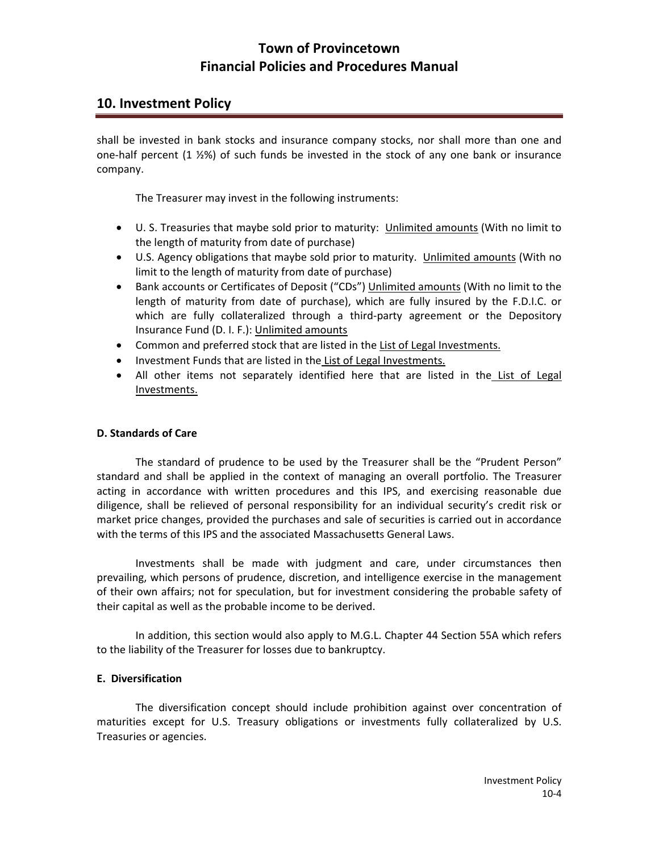## **10. Investment Policy**

shall be invested in bank stocks and insurance company stocks, nor shall more than one and one‐half percent (1 ½%) of such funds be invested in the stock of any one bank or insurance company.

The Treasurer may invest in the following instruments:

- U. S. Treasuries that maybe sold prior to maturity: Unlimited amounts (With no limit to the length of maturity from date of purchase)
- U.S. Agency obligations that maybe sold prior to maturity. Unlimited amounts (With no limit to the length of maturity from date of purchase)
- Bank accounts or Certificates of Deposit ("CDs") Unlimited amounts (With no limit to the length of maturity from date of purchase), which are fully insured by the F.D.I.C. or which are fully collateralized through a third-party agreement or the Depository Insurance Fund (D. I. F.): Unlimited amounts
- Common and preferred stock that are listed in the List of Legal Investments.
- Investment Funds that are listed in the List of Legal Investments.
- All other items not separately identified here that are listed in the List of Legal Investments.

#### **D. Standards of Care**

The standard of prudence to be used by the Treasurer shall be the "Prudent Person" standard and shall be applied in the context of managing an overall portfolio. The Treasurer acting in accordance with written procedures and this IPS, and exercising reasonable due diligence, shall be relieved of personal responsibility for an individual security's credit risk or market price changes, provided the purchases and sale of securities is carried out in accordance with the terms of this IPS and the associated Massachusetts General Laws.

Investments shall be made with judgment and care, under circumstances then prevailing, which persons of prudence, discretion, and intelligence exercise in the management of their own affairs; not for speculation, but for investment considering the probable safety of their capital as well as the probable income to be derived.

In addition, this section would also apply to M.G.L. Chapter 44 Section 55A which refers to the liability of the Treasurer for losses due to bankruptcy.

#### **E. Diversification**

The diversification concept should include prohibition against over concentration of maturities except for U.S. Treasury obligations or investments fully collateralized by U.S. Treasuries or agencies.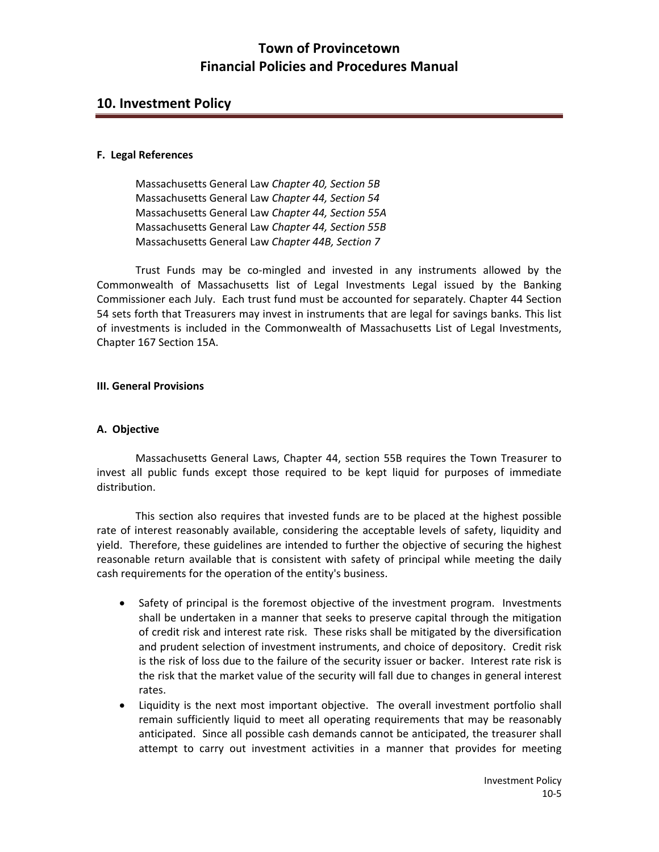### **10. Investment Policy**

#### **F. Legal References**

Massachusetts General Law *Chapter 40, Section 5B* Massachusetts General Law *Chapter 44, Section 54* Massachusetts General Law *Chapter 44, Section 55A* Massachusetts General Law *Chapter 44, Section 55B* Massachusetts General Law *Chapter 44B, Section 7*

Trust Funds may be co-mingled and invested in any instruments allowed by the Commonwealth of Massachusetts list of Legal Investments Legal issued by the Banking Commissioner each July. Each trust fund must be accounted for separately. Chapter 44 Section 54 sets forth that Treasurers may invest in instruments that are legal for savings banks. This list of investments is included in the Commonwealth of Massachusetts List of Legal Investments, Chapter 167 Section 15A.

#### **III. General Provisions**

#### **A. Objective**

Massachusetts General Laws, Chapter 44, section 55B requires the Town Treasurer to invest all public funds except those required to be kept liquid for purposes of immediate distribution.

This section also requires that invested funds are to be placed at the highest possible rate of interest reasonably available, considering the acceptable levels of safety, liquidity and yield. Therefore, these guidelines are intended to further the objective of securing the highest reasonable return available that is consistent with safety of principal while meeting the daily cash requirements for the operation of the entity's business.

- Safety of principal is the foremost objective of the investment program. Investments shall be undertaken in a manner that seeks to preserve capital through the mitigation of credit risk and interest rate risk. These risks shall be mitigated by the diversification and prudent selection of investment instruments, and choice of depository. Credit risk is the risk of loss due to the failure of the security issuer or backer. Interest rate risk is the risk that the market value of the security will fall due to changes in general interest rates.
- Liquidity is the next most important objective. The overall investment portfolio shall remain sufficiently liquid to meet all operating requirements that may be reasonably anticipated. Since all possible cash demands cannot be anticipated, the treasurer shall attempt to carry out investment activities in a manner that provides for meeting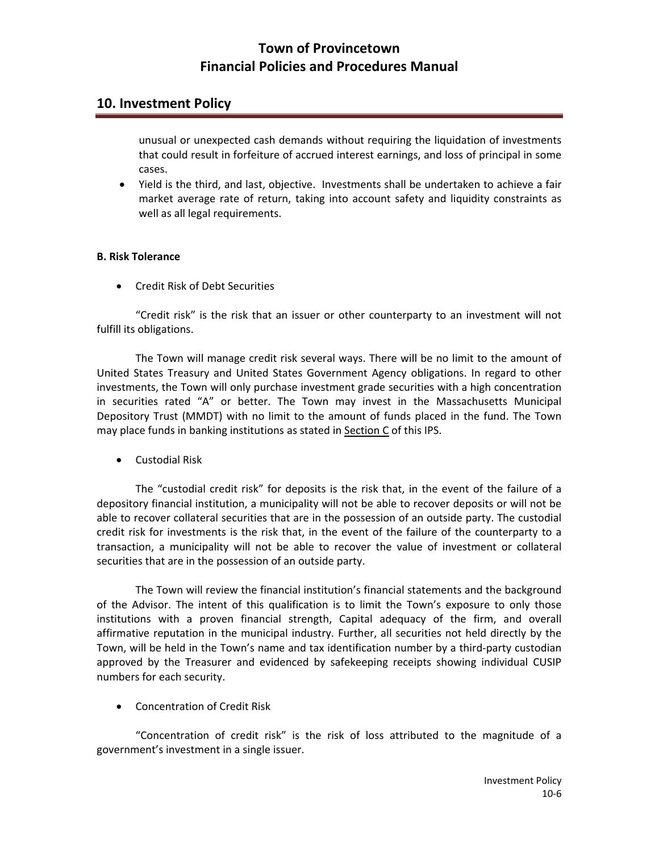## **10. Investment Policy**

unusual or unexpected cash demands without requiring the liquidation of investments that could result in forfeiture of accrued interest earnings, and loss of principal in some cases.

 Yield is the third, and last, objective. Investments shall be undertaken to achieve a fair market average rate of return, taking into account safety and liquidity constraints as well as all legal requirements.

### **B. Risk Tolerance**

Credit Risk of Debt Securities

"Credit risk" is the risk that an issuer or other counterparty to an investment will not fulfill its obligations.

The Town will manage credit risk several ways. There will be no limit to the amount of United States Treasury and United States Government Agency obligations. In regard to other investments, the Town will only purchase investment grade securities with a high concentration in securities rated "A" or better. The Town may invest in the Massachusetts Municipal Depository Trust (MMDT) with no limit to the amount of funds placed in the fund. The Town may place funds in banking institutions as stated in Section C of this IPS.

Custodial Risk

The "custodial credit risk" for deposits is the risk that, in the event of the failure of a depository financial institution, a municipality will not be able to recover deposits or will not be able to recover collateral securities that are in the possession of an outside party. The custodial credit risk for investments is the risk that, in the event of the failure of the counterparty to a transaction, a municipality will not be able to recover the value of investment or collateral securities that are in the possession of an outside party.

The Town will review the financial institution's financial statements and the background of the Advisor. The intent of this qualification is to limit the Town's exposure to only those institutions with a proven financial strength, Capital adequacy of the firm, and overall affirmative reputation in the municipal industry. Further, all securities not held directly by the Town, will be held in the Town's name and tax identification number by a third‐party custodian approved by the Treasurer and evidenced by safekeeping receipts showing individual CUSIP numbers for each security.

Concentration of Credit Risk

"Concentration of credit risk" is the risk of loss attributed to the magnitude of a government's investment in a single issuer.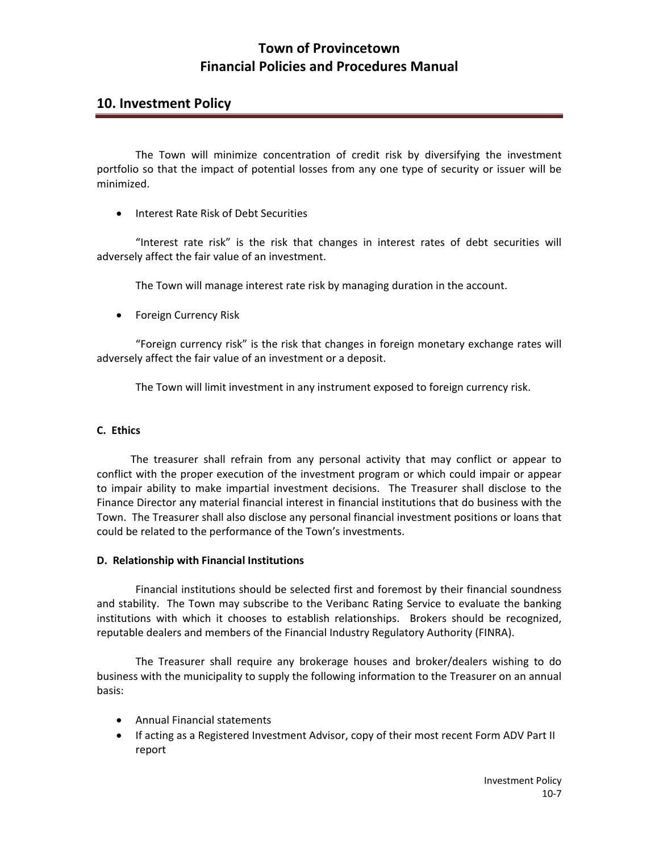### **10. Investment Policy**

The Town will minimize concentration of credit risk by diversifying the investment portfolio so that the impact of potential losses from any one type of security or issuer will be minimized.

Interest Rate Risk of Debt Securities

"Interest rate risk" is the risk that changes in interest rates of debt securities will adversely affect the fair value of an investment.

The Town will manage interest rate risk by managing duration in the account.

**•** Foreign Currency Risk

"Foreign currency risk" is the risk that changes in foreign monetary exchange rates will adversely affect the fair value of an investment or a deposit.

The Town will limit investment in any instrument exposed to foreign currency risk.

#### **C. Ethics**

The treasurer shall refrain from any personal activity that may conflict or appear to conflict with the proper execution of the investment program or which could impair or appear to impair ability to make impartial investment decisions. The Treasurer shall disclose to the Finance Director any material financial interest in financial institutions that do business with the Town. The Treasurer shall also disclose any personal financial investment positions or loans that could be related to the performance of the Town's investments.

#### **D. Relationship with Financial Institutions**

Financial institutions should be selected first and foremost by their financial soundness and stability. The Town may subscribe to the Veribanc Rating Service to evaluate the banking institutions with which it chooses to establish relationships. Brokers should be recognized, reputable dealers and members of the Financial Industry Regulatory Authority (FINRA).

The Treasurer shall require any brokerage houses and broker/dealers wishing to do business with the municipality to supply the following information to the Treasurer on an annual basis:

- Annual Financial statements
- If acting as a Registered Investment Advisor, copy of their most recent Form ADV Part II report